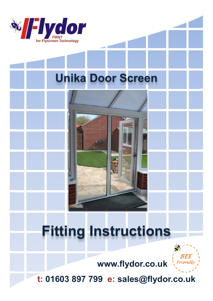

# **Unika Door Screen**

## **Fitting Instructions**



www.flydor.co.uk

t: 01603 897 799 e: sales@flydor.co.uk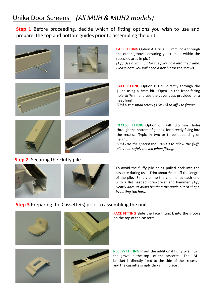### Unika Door Screens *(All MUH & MUH2 models)*

**Step 1** Before proceeding, decide which of fitting options you wish to use and prepare the top and bottom guides prior to assembling the unit.













height.

**Step 2** Securing the Fluffy pile



**FACE FITTING** Option A Drill a 3.5 mm hole through the outer groove, ensuring you remain within the recessed area in pic 2.

*(Tip) Use a 2mm bit for the pilot hole into the frame. Please note you will need a hex bit for the screws*

**FACE FITTING** Option B Drill directly through the guide using a 3mm bit. Open up the front facing hole to 7mm and use the cover caps provided for a neat finish.

*(Tip) Use a small screw (3.5x 16) to affix to frame.*

**RECESS FITTING** Option C Drill 3.5 mm holes through the bottom of guides, for directly fixing into the recess. Typically two or three depending on

*(Tip) Use the special tool 8460.0 to allow the fluffy pile to be safely moved when fitting.*

To avoid the fluffy pile being pulled back into the cassette during use. Trim about 6mm off the length of the pile. Simply crimp the channel at each end with a flat headed screwdriver and hammer. *(Tip) Gently does it! Avoid bending the guide out of shape by hitting too hard.*

#### **Step 3** Preparing the Cassette(s) prior to assembling the unit.









**FACE FITTING** Slide the face fitting **L** into the groove on the top of the cassette .

**RECESS FITTING** Insert the additional fluffy pile into the grove in the top of the cassette. The **M** bracket is directly fixed to the side of the recess and the cassette simply clicks in n place .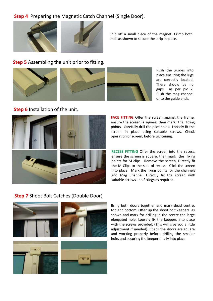### **Step 4** Preparing the Magnetic Catch Channel (Single Door).



Snip off a small piece of the magnet. Crimp both ends as shown to secure the strip in place.

### **Step 5** Assembling the unit prior to fitting.





Push the guides into place ensuring the lugs are correctly located. There should be no gaps as per pic 2. Push the mag channel onto the guide ends.

### **Step 6** Installation of the unit.



**FACE FITTING** Offer the screen against the frame, ensure the screen is square, then mark the fixing points. Carefully drill the pilot holes. Loosely fit the screen in place using suitable screws. Check operation of screen, before tightening.

**RECESS FITTING** Offer the screen into the recess, ensure the screen is square, then mark the fixing points for M clips. Remove the screen, Directly fit the M Clips to the side of recess. Click the screen into place. Mark the fixing points for the channels and Mag Channel. Directly fix the screen with suitable screws and fittings as required.

#### **Step 7** Shoot Bolt Catches (Double Door)



Bring both doors together and mark dead centre, top and bottom. Offer up the shoot bolt keepers as shown and mark for drilling in the centre the large elongated hole. Loosely fix the keepers into place with the screws provided. (This will give you a little adjustment if needed). Check the doors are square and working properly before drilling the smaller hole, and securing the keeper finally into place.